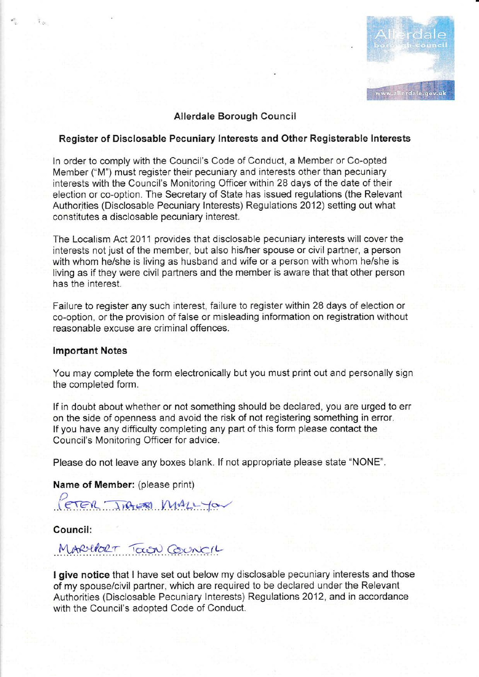

### Allerdale Borough Council

### Register of Disclosable Pecuniary lnterests and Other Registerable lnterests

In order to comply with the Council's Code of Conduct, a Member or Co-opted Member ("M") must register their pecuniary and interests other than pecuniary interests with the Council's Monitoring Officer within 28 days of the date of their election or co-option. The Secretary of State has issued regulations (the Relevant Authorities (Disclosable Pecuniary lnterests) Regulations 2012) setting out what constitutes a disclosable pecuniary interest.

The Localism Act 2011 provides that disclosable pecuniary interests will cover the interests not just of the member, but also his/her spouse or civil partner, a person with whom he/she is living as husband and wife or a person with whom he/she is living as if they were civil partners and the member is aware that that other person has the interest.

Failure to register any such interest, failure to register within 28 days of election or co-option, or the provision of false or misleading information on registration without reasonable excuse are criminal offences.

### lmportant Notes

 $\tau_{\rm eff}$ 

You may complete the form electronically but you must print out and personally sign the completed form.

lf in doubt about whether or not something should be declared, you are urged to err on the side of openness and avoid the risk of not registering something in error. lf you have any difficulty completing any part of this form please contact the Council's Monitoring Officer for advice.

Please do not leave any boxes blank. lf not appropriate please state "NONE".

Name of Member: (please print)

FER INGLES MALLYON

Council:

MARIDET TOWN COUNCIL

I give notice that I have set out below my disclosable pecuniary interests and those of my spouse/civil partner, which are required to be declared under the Relevant Authorities (Disclosable Pecuniary Interests) Regulations 2012, and in accordance with the Council's adopted Code of Conduct.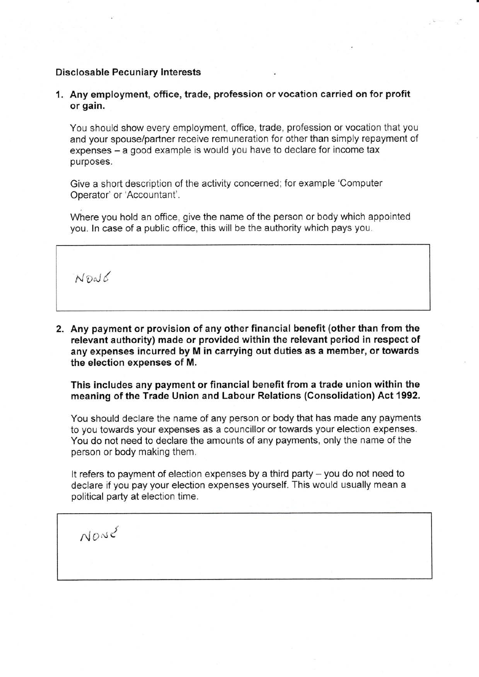#### Disclosable Pecuniary Interests

1. Any employment, office, trade, profession or vocation carried on for profit or gain.

You should show every employment, office, trade. profession or vocation that you and your spouse/partner receive remuneration for other than simply repayment of expenses – a good example is would you have to declare for income tax purposes.

Give a short description of the activity concerned; for example 'Computer Operator' or'Accountant'.

Where you hold an office, give the name of the person or body which appointed you. ln case of a public office, this wiil be the authority which pays you.

 $N$ Pal $6$ 

2. Any payment or provision of any other financial benefit (other than from the relevant authority) made or provided within the relevant period in respect of any expenses incurred by M in carrying out duties as a member, or towards the election expenses of M.

This includes any payment or financial benefit from a trade union within the meaning of the Trade Union and Labour Relations (Consolidation) Act 1992.

You should declare the name of any person or body that has made any payments to you towards your expenses as a councillor or towards your election expenses. You do not need to declare the amounts of any payments, only the name of the person or body making them.

It refers to payment of election expenses by a third party - you do not need to declare if you pay your election expenses yourself. This would usually mean a political party at election time.

 $N$  $O$  $N$  $C$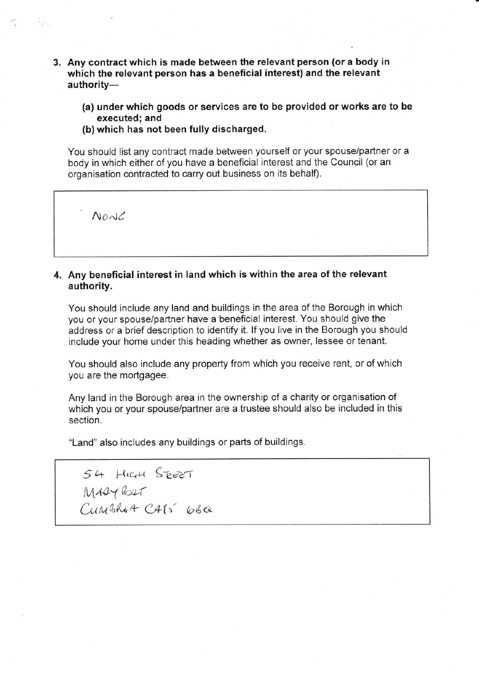- 3. Any contract which is made between the relevant person (or a body in which the relevant person has a beneficial interest) and the relevant authority-
	- (a) under which goods or services are to be provided or works are to be executed; and
	- (b) which has not been fully discharged.

You should list any contract made between yourself or your spouselpartner or a body in which either of you have a beneficial interest and the Council (or an organisation contracted to carry out business on its behalf).

 $N$ ont

몇 명이

## 4. Any beneficial interest in land which is within the area of the relevant authority.

You should include any land and buildings in the area of the Borough in which you or your spouse/partner have a beneficial interest. You should give the address or a brief description to identify it. lf you live in the Borough you should include your home under this heading whether as owner, lessee or tenant.

You should also include any property from which you receive rent, or of which you are the mortgagee.

Any land in the Borough area in the ownership of a charity or organisation of which you or your spouse/partner are a trustee should also be included in this section.

"Land" also includes any buildings or parts of buildings.

54 HIGH SEET  $\mathcal{L}$ unga  $Q_{C\!O\!A\!A}$  $CumBku+ CAts$   $66a$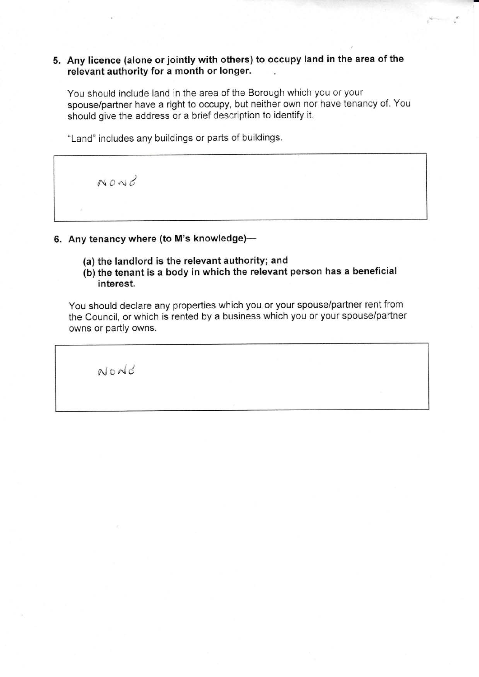## 5. Any licence (alone or jointly with others) to occupy land in the area of the relevant authority for a month or longer.

You should include land in the area of the Borough which you or your spouse/partner have a right to occupy, but neither own nor have tenancy of. You should give the address or a brief description to identify it.

ii

"Land" includes any buildings or parts of buildings.

 $N0N<sub>o</sub>$ 

# 6. Any tenancy where (to M's knowledge)-

- (a) the landlord is the relevant authority; and
- (b) the tenant is a body in which the relevant person has a beneficial interest.

You should declare any properties which you or your spouse/partner rent from the Council, or which is rented by a business which you or your spouse/partner owns or partly owns.

 $N$ o $N$ d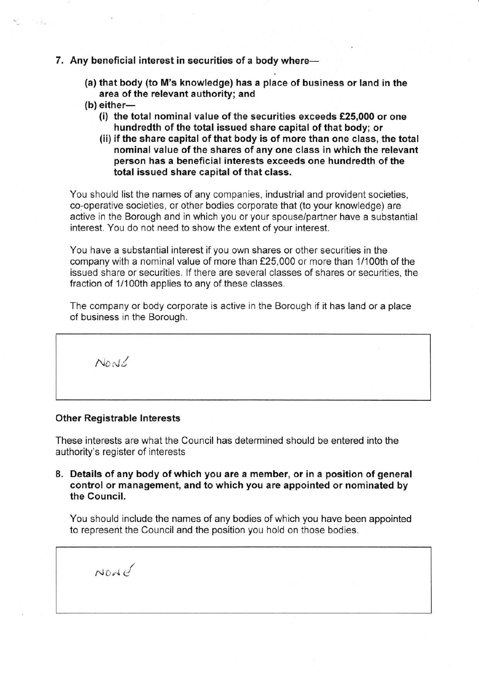#### 7. Any beneficial interest in securities of a body where-

- (a) that body (to M's knowledge) has a place of business or land in the area of the relevant authority; and
- $(b)$  either-

 $\sim$   $L_{\rm s}$ 

- (i) the total nominal value of the securities exceeds  $£25,000$  or one hundredth of the total issued share capital of that body; or
- (ii) if the share capital of that body is of more than one class, the total nominal value of the shares of any one class in which the relevant person has a beneficial interests exceeds one hundredth of the total issued share capital of that class.

You should list the names of any companies, industrial and provident societies, co-operative societies, or other bodies corporate that (to your knowledge) are active in the Borough and in which you or your spouse/partner have a substantial interest. You do not need to show the extent of your interest.

You have a substantial interest if you own shares or other securities in the company with a nominal value of more than f25,000 or more than 1/100th of the issued share or securities. lf there are several classes of shares or securities, the fraction of 1/100th applies to any of these classes.

The company or body corporate is active in the Borough if it has land or a place of business in the Borough.

 $N$ o $N$ 6

#### Other Registrable lnterests

These interests are what the Council has determined should be entered into the authority's register of interests

8. Details of any body of which you are a member, or in a position of general control or management, and to which you are appointed or nominated by the Council.

You should include the names of any bodies of which you have been appointed to represent the Council and the position you hold on those bodies.

 $Nod G$